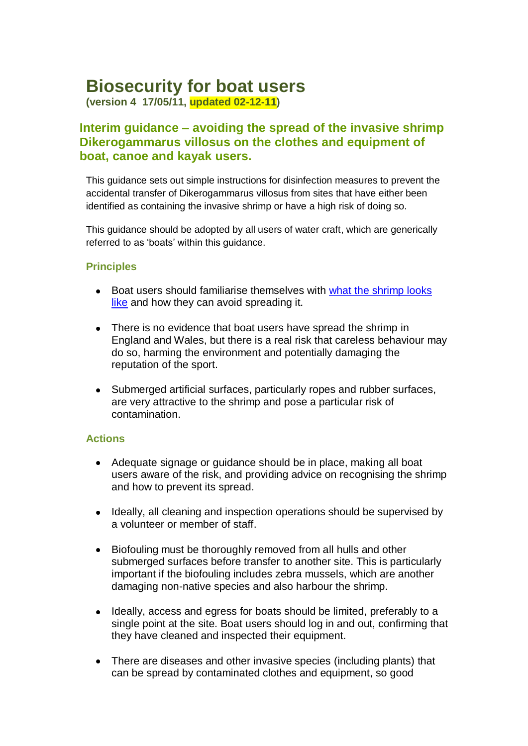# **Biosecurity for boat users**

**(version 4 17/05/11, updated 02-12-11)**

## **Interim guidance – avoiding the spread of the invasive shrimp Dikerogammarus villosus on the clothes and equipment of boat, canoe and kayak users.**

This guidance sets out simple instructions for disinfection measures to prevent the accidental transfer of Dikerogammarus villosus from sites that have either been identified as containing the invasive shrimp or have a high risk of doing so.

This guidance should be adopted by all users of water craft, which are generically referred to as 'boats' within this guidance.

### **Principles**

- Boat users should familiarise themselves with what the shrimp looks [like](https://secure.fera.defra.gov.uk/nonnativespecies/alerts/index.cfm?id=3) and how they can avoid spreading it.
- There is no evidence that boat users have spread the shrimp in England and Wales, but there is a real risk that careless behaviour may do so, harming the environment and potentially damaging the reputation of the sport.
- Submerged artificial surfaces, particularly ropes and rubber surfaces, are very attractive to the shrimp and pose a particular risk of contamination.

### **Actions**

- Adequate signage or guidance should be in place, making all boat  $\bullet$ users aware of the risk, and providing advice on recognising the shrimp and how to prevent its spread.
- Ideally, all cleaning and inspection operations should be supervised by  $\bullet$ a volunteer or member of staff.
- Biofouling must be thoroughly removed from all hulls and other  $\bullet$ submerged surfaces before transfer to another site. This is particularly important if the biofouling includes zebra mussels, which are another damaging non-native species and also harbour the shrimp.
- $\bullet$ Ideally, access and egress for boats should be limited, preferably to a single point at the site. Boat users should log in and out, confirming that they have cleaned and inspected their equipment.
- There are diseases and other invasive species (including plants) that can be spread by contaminated clothes and equipment, so good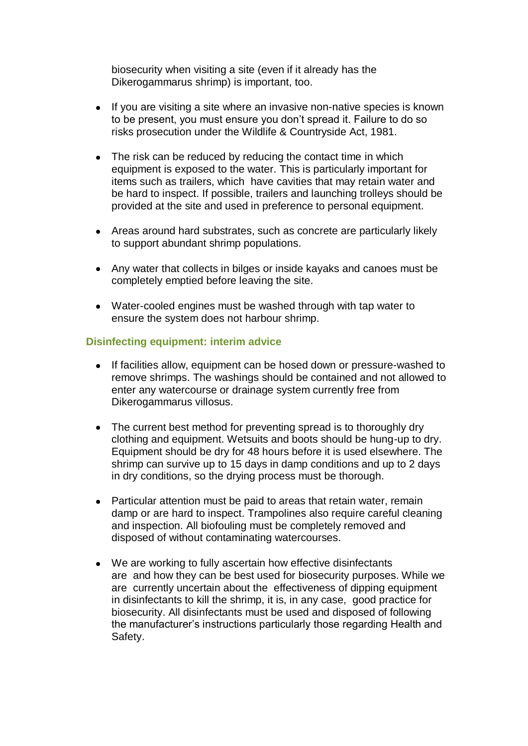biosecurity when visiting a site (even if it already has the Dikerogammarus shrimp) is important, too.

- $\bullet$ If you are visiting a site where an invasive non-native species is known to be present, you must ensure you don't spread it. Failure to do so risks prosecution under the Wildlife & Countryside Act, 1981.
- The risk can be reduced by reducing the contact time in which  $\bullet$ equipment is exposed to the water. This is particularly important for items such as trailers, which have cavities that may retain water and be hard to inspect. If possible, trailers and launching trolleys should be provided at the site and used in preference to personal equipment.
- Areas around hard substrates, such as concrete are particularly likely to support abundant shrimp populations.
- Any water that collects in bilges or inside kayaks and canoes must be completely emptied before leaving the site.
- Water-cooled engines must be washed through with tap water to ensure the system does not harbour shrimp.

## **Disinfecting equipment: interim advice**

- If facilities allow, equipment can be hosed down or pressure-washed to  $\bullet$ remove shrimps. The washings should be contained and not allowed to enter any watercourse or drainage system currently free from Dikerogammarus villosus.
- The current best method for preventing spread is to thoroughly dry clothing and equipment. Wetsuits and boots should be hung-up to dry. Equipment should be dry for 48 hours before it is used elsewhere. The shrimp can survive up to 15 days in damp conditions and up to 2 days in dry conditions, so the drying process must be thorough.
- Particular attention must be paid to areas that retain water, remain  $\bullet$ damp or are hard to inspect. Trampolines also require careful cleaning and inspection. All biofouling must be completely removed and disposed of without contaminating watercourses.
- We are working to fully ascertain how effective disinfectants are and how they can be best used for biosecurity purposes. While we are currently uncertain about the effectiveness of dipping equipment in disinfectants to kill the shrimp, it is, in any case, good practice for biosecurity. All disinfectants must be used and disposed of following the manufacturer's instructions particularly those regarding Health and Safety.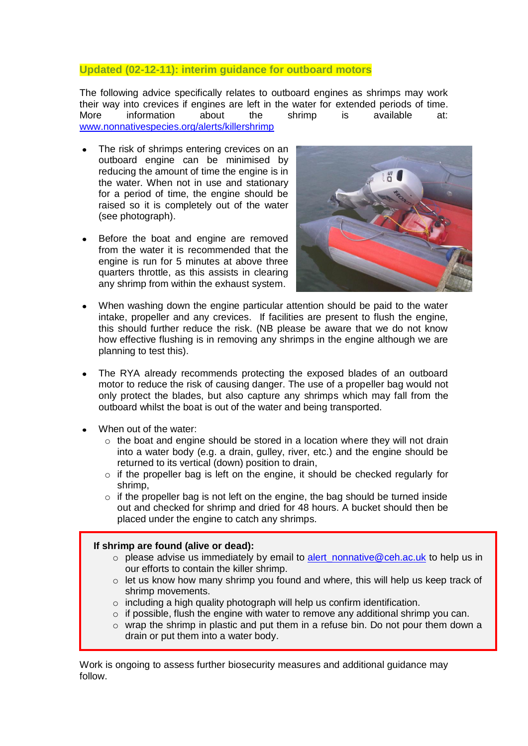#### **Updated (02-12-11): interim guidance for outboard motors**

The following advice specifically relates to outboard engines as shrimps may work their way into crevices if engines are left in the water for extended periods of time. More information about the shrimp is available at: [www.nonnativespecies.org/alerts/killershrimp](http://www.nonnativespecies.org/alerts/killershrimp)

- The risk of shrimps entering crevices on an outboard engine can be minimised by reducing the amount of time the engine is in the water. When not in use and stationary for a period of time, the engine should be raised so it is completely out of the water (see photograph).
- Before the boat and engine are removed from the water it is recommended that the engine is run for 5 minutes at above three quarters throttle, as this assists in clearing any shrimp from within the exhaust system.



- When washing down the engine particular attention should be paid to the water intake, propeller and any crevices. If facilities are present to flush the engine, this should further reduce the risk. (NB please be aware that we do not know how effective flushing is in removing any shrimps in the engine although we are planning to test this).
- The RYA already recommends protecting the exposed blades of an outboard motor to reduce the risk of causing danger. The use of a propeller bag would not only protect the blades, but also capture any shrimps which may fall from the outboard whilst the boat is out of the water and being transported.
- When out of the water:
	- o the boat and engine should be stored in a location where they will not drain into a water body (e.g. a drain, gulley, river, etc.) and the engine should be returned to its vertical (down) position to drain,
	- $\circ$  if the propeller bag is left on the engine, it should be checked regularly for shrimp,
	- $\circ$  if the propeller bag is not left on the engine, the bag should be turned inside out and checked for shrimp and dried for 48 hours. A bucket should then be placed under the engine to catch any shrimps.

#### **If shrimp are found (alive or dead):**

- $\circ$  please advise us immediately by email to alert nonnative@ceh.ac.uk to help us in our efforts to contain the killer shrimp.
- $\circ$  let us know how many shrimp you found and where, this will help us keep track of shrimp movements.
- o including a high quality photograph will help us confirm identification.
- $\circ$  if possible, flush the engine with water to remove any additional shrimp you can.
- o wrap the shrimp in plastic and put them in a refuse bin. Do not pour them down a drain or put them into a water body.

Work is ongoing to assess further biosecurity measures and additional guidance may follow.